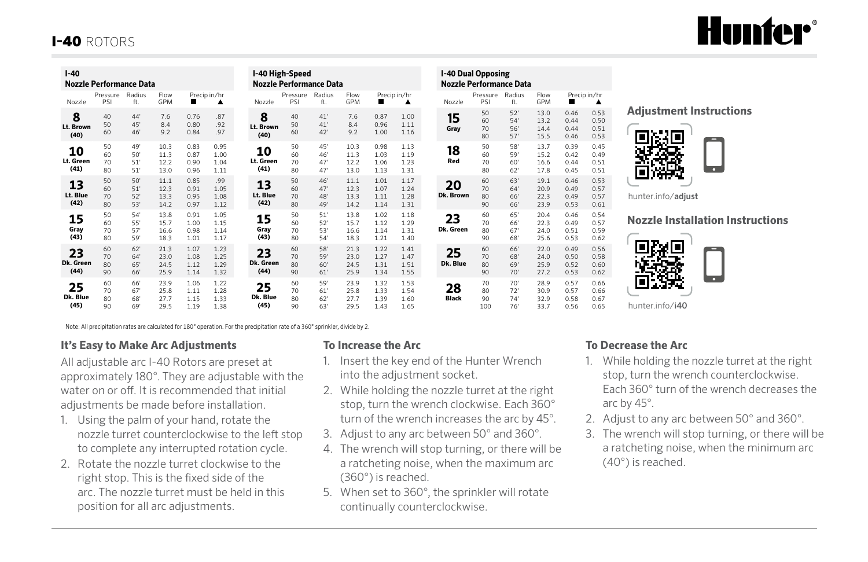# **Hunter**\*

## I-40 ROTORS

| $I-40$<br><b>Nozzle Performance Data</b> |                      |                           |                              |                              |                              | I-40 High-Speed<br><b>Nozzle Performance Data</b> |                      |                          |                              |                              |                              | <b>I-40 Dual Opposing</b><br><b>Nozzle Performance Data</b> |                    |                       |                          |                              |
|------------------------------------------|----------------------|---------------------------|------------------------------|------------------------------|------------------------------|---------------------------------------------------|----------------------|--------------------------|------------------------------|------------------------------|------------------------------|-------------------------------------------------------------|--------------------|-----------------------|--------------------------|------------------------------|
| Nozzle                                   | Pressure<br>PSI      | Radius<br>ft.             | Flow<br>GPM                  | ш                            | Precip in/hr<br>٨            | Nozzle                                            | Pressure<br>PSI      | Radius<br>ft.            | Flow<br>GPM                  | ш                            | Precip in/hr<br>▲            |                                                             | Nozzle             | Pressure<br>PSI       | Radius<br>ft.            | Flow<br>GPM                  |
| 8<br>Lt. Brown<br>(40)                   | 40<br>50<br>60       | $44^{\circ}$<br>45<br>46' | 7.6<br>8.4<br>9.2            | 0.76<br>0.80<br>0.84         | .87<br>.92<br>.97            | 8<br>Lt. Brown<br>(40)                            | 40<br>50<br>60       | 41'<br>41'<br>42'        | 7.6<br>8.4<br>9.2            | 0.87<br>0.96<br>1.00         | 1.00<br>1.11<br>1.16         |                                                             | 15<br>Gray         | 50<br>60<br>70<br>80  | 52"<br>54'<br>56<br>57'  | 13.0<br>13.2<br>14.4<br>15.5 |
| 10<br>Lt. Green<br>(41)                  | 50<br>60<br>70<br>80 | 49<br>50<br>51'<br>51'    | 10.3<br>11.3<br>12.2<br>13.0 | 0.83<br>0.87<br>0.90<br>0.96 | 0.95<br>1.00<br>1.04<br>1.11 | 10<br>Lt. Green<br>(41)                           | 50<br>60<br>70<br>80 | 45'<br>46'<br>47'<br>47' | 10.3<br>11.3<br>12.2<br>13.0 | 0.98<br>1.03<br>1.06<br>1.13 | 1.13<br>1.19<br>1.23<br>1.31 |                                                             | 18<br>Red          | 50<br>60<br>70<br>80  | 58'<br>59'<br>60'<br>62' | 13.7<br>15.2<br>16.6<br>17.8 |
| 13<br>Lt. Blue<br>(42)                   | 50<br>60<br>70<br>80 | 50<br>51'<br>52'<br>53'   | 11.1<br>12.3<br>13.3<br>14.2 | 0.85<br>0.91<br>0.95<br>0.97 | .99<br>1.05<br>1.08<br>1.12  | 13<br>Lt. Blue<br>(42)                            | 50<br>60<br>70<br>80 | 46'<br>47'<br>48'<br>49' | 11.1<br>12.3<br>13.3<br>14.2 | 1.01<br>1.07<br>1.11<br>1.14 | 1.17<br>1.24<br>1.28<br>1.31 |                                                             | 20<br>Dk. Brown    | 60<br>70<br>80<br>90  | 63'<br>64'<br>66'<br>66' | 19.1<br>20.9<br>22.3<br>23.9 |
| 15<br>Gray<br>(43)                       | 50<br>60<br>70<br>80 | 54'<br>55'<br>57'<br>59   | 13.8<br>15.7<br>16.6<br>18.3 | 0.91<br>1.00<br>0.98<br>1.01 | 1.05<br>1.15<br>1.14<br>1.17 | 15<br>Gray<br>(43)                                | 50<br>60<br>70<br>80 | 51'<br>52'<br>53'<br>54' | 13.8<br>15.7<br>16.6<br>18.3 | 1.02<br>1.12<br>1.14<br>1.21 | 1.18<br>1.29<br>1.31<br>1.40 |                                                             | 23<br>Dk. Green    | 60<br>70<br>80<br>90  | 65'<br>66'<br>67'<br>68' | 20.4<br>22.3<br>24.0<br>25.6 |
| 23<br>Dk. Green<br>(44)                  | 60<br>70<br>80<br>90 | 62"<br>64<br>65'<br>66'   | 21.3<br>23.0<br>24.5<br>25.9 | 1.07<br>1.08<br>1.12<br>1.14 | 1.23<br>1.25<br>1.29<br>1.32 | 23<br>Dk. Green<br>(44)                           | 60<br>70<br>80<br>90 | 58'<br>59'<br>60'<br>61' | 21.3<br>23.0<br>24.5<br>25.9 | 1.22<br>1.27<br>1.31<br>1.34 | 1.41<br>1.47<br>1.51<br>1.55 |                                                             | 25<br>Dk. Blue     | 60<br>70<br>80<br>90  | 66'<br>68'<br>69<br>70'  | 22.0<br>24.0<br>25.9<br>27.2 |
| 25<br>Dk. Blue<br>(45)                   | 60<br>70<br>80<br>90 | 66'<br>67<br>68'<br>69    | 23.9<br>25.8<br>27.7<br>29.5 | 1.06<br>1.11<br>1.15<br>1.19 | 1.22<br>1.28<br>1.33<br>1.38 | 25<br>Dk. Blue<br>(45)                            | 60<br>70<br>80<br>90 | 59'<br>61'<br>62'<br>63' | 23.9<br>25.8<br>27.7<br>29.5 | 1.32<br>1.33<br>1.39<br>1.43 | 1.53<br>1.54<br>1.60<br>1.65 |                                                             | 28<br><b>Black</b> | 70<br>80<br>90<br>100 | 70'<br>72'<br>74'<br>76' | 28.9<br>30.9<br>32.9<br>33.7 |

Note: All precipitation rates are calculated for 180° operation. For the precipitation rate of a 360° sprinkler, divide by 2.

### **It's Easy to Make Arc Adjustments**

All adjustable arc I-40 Rotors are preset at approximately 180°. They are adjustable with the water on or off. It is recommended that initial adjustments be made before installation.

- 1. Using the palm of your hand, rotate the nozzle turret counterclockwise to the left stop to complete any interrupted rotation cycle.
- 2. Rotate the nozzle turret clockwise to the right stop. This is the fixed side of the arc. The nozzle turret must be held in this position for all arc adjustments.

### **To Increase the Arc**

- 1. Insert the key end of the Hunter Wrench into the adjustment socket.
- 2. While holding the nozzle turret at the right stop, turn the wrench clockwise. Each 360° turn of the wrench increases the arc by 45°.

essure Radius Flow Precip in/hr<br>PSI ft. GPM

13.0 13.2 14.4 15.5

13.7 15.2 16.6 17.8

19.1 20.9 22.3 23.9

20.4 22.3 24.0 25.6

22.0 24.0 25.9 27.2

28.9 30.9 32.9 33.7 0.46 0.44 0.44 0.46

0.39 0.42 0.44 0.45

0.46 0.49 0.49 0.53

0.46 0.49 0.51 0.53

0.49 0.50 0.52 0.53

0.57 0.57 0.58 0.56 0.53 0.50 0.51 0.53

0.45 0.49 0.51 0.51

0.53 0.57 0.57 0.61

0.54 0.57 0.59 0.62

0.56 0.58 0.60 0.62

0.66 0.66 0.67 0.65

- 3. Adjust to any arc between 50° and 360°.
- 4. The wrench will stop turning, or there will be a ratcheting noise, when the maximum arc (360°) is reached.
- 5. When set to 360°, the sprinkler will rotate continually counterclockwise.

#### **Adjustment Instructions**



hunter.info/adjust

### **Nozzle Installation Instructions**



### **To Decrease the Arc**

- 1. While holding the nozzle turret at the right stop, turn the wrench counterclockwise. Each 360° turn of the wrench decreases the arc by 45°.
- 2. Adjust to any arc between 50° and 360°.
- 3. The wrench will stop turning, or there will be a ratcheting noise, when the minimum arc (40°) is reached.